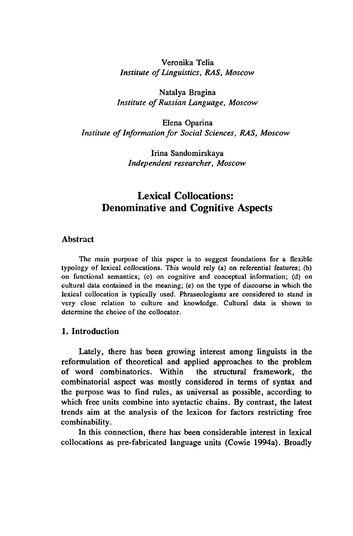Veronika Telia *Institute ofLinguistics, RAS, Moscow*

Natalya Bragina *Institute ofRussian Language, Moscow*

Elena Oparina *Institute ofInformation for Social Sciences, RAS, Moscow*

> Irina Sandomirskaya *Independent researcher, Moscow*

# Lexical Collocations: Denominative and Cognitive Aspects

#### Abstract

The main purpose of this paper is to suggest foundations for a flexible typology of lexical collocations. This would rely (a) on referential features; (b) on functional semantics; (c) on cognitive and conceptual information; (d) on cultural data contained in the meaning; (e) on the type of discourse in which the lexical collocation is typically used. Phraseologisms are considered to stand in very close relation to culture and knowledge. Cultural data is shown to determine the choice of the collocator.

#### **1. Introduction**

Lately, there has been growing interest among linguists in the reformulation of theoretical and applied approaches to the problem of word combinatorics. Within the structural framework, the combinatorial aspect was mostly considered in terms of syntax and the purpose was to find rules, as universal as possible, according to which free units combine into syntactic chains. By contrast, the latest trends aim at the analysis of the lexicon for factors restricting free combinability.

In this connection, there has been considerable interest in lexical collocations as pre-fabricated language units (Cowie 1994a). Broadly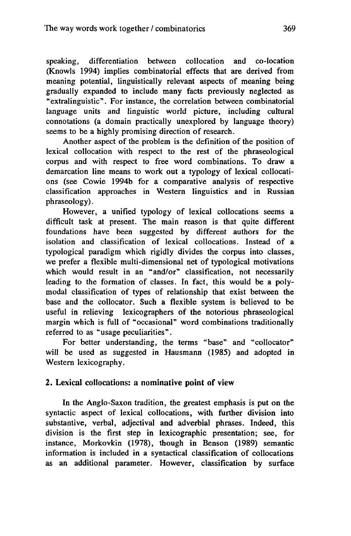speaking, differentiation between collocation and co-location (Knowls 1994) implies combinatorial effects that are derived from meaning potential, linguistically relevant aspects of meaning being gradually expanded to include many facts previously neglected as "extralinguistic". For instance, the correlation between combinatorial language units and linguistic world picture, including cultural connotations (a domain practically unexplored by language theory) seems to be a highly promising direction of research.

Another aspect of the problem is the definition of the position of lexical collocation with respect to the rest of the phraseological corpus and with respect to free word combinations. To draw a demarcation line means to work out a typology of lexical collocations (see Cowie 1994b for a comparative analysis of respective classification approaches in Western linguistics and in Russian phraseology).

However, a unified typology of lexical collocations seems a difficult task at present. The main reason is that quite different foundations have been suggested by different authors for the isolation and classification of lexical collocations. Instead of a typological paradigm which rigidly divides the corpus into classes, we prefer a flexible multi-dimensional net of typological motivations which would result in an "and/or" classification, not necessarily leading to the formation of classes. In fact, this would be a polymodal classification of types of relationship that exist between the base and the collocator. Such a flexible system is believed to be useful in relieving lexicographers of the notorious phraseological margin which is full of "occasional" word combinations traditionally referred to as "usage peculiarities".

For better understanding, the terms "base" and "collocator" will be used as suggested in Hausmann (1985) and adopted in Western lexicography.

### **2. Lexical collocations: a nominative point of view**

**In** the Anglo-Saxon tradition, the greatest emphasis is put on the syntactic aspect of lexical collocations, with further division into substantive, verbal, adjectival and adverbial phrases. Indeed, this division is the first step in lexicographic presentation; see, for instance, Morkovkin (1978), though in Benson (1989) semantic information is included in a syntactical classification of collocations as an additional parameter. However, classification by surface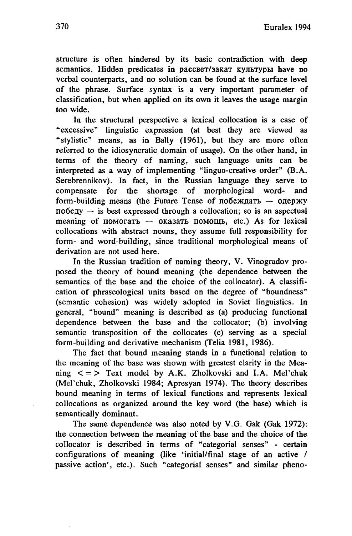structure is often hindered by its basic contradiction with deep semantics. Hidden predicates in paccber/3akar Kyjibrypbi have no verbal counterparts, and no solution can be found at the surface level of the phrase. Surface syntax is a very important parameter of classification, but when applied on its own it leaves the usage margin too wide.

In the structural perspective a lexical collocation is a case of "excessive" linguistic expression (at best they are viewed as "stylistic" means, as in Bally (1961), but they are more often referred to the idiosyncratic domain of usage). On the other hand, in terms of the theory of naming, such language units can be interpreted as a way of implementing "linguo-creative order" (B.A. Serebrennikov). In fact, in the Russian language they serve to compensate for the shortage of morphological word- and form-building means (the Future Tense of  $\text{no}$   $\text{6}$   $\text{6}$   $\text{6}$   $\text{6}$   $\text{6}$   $\text{6}$   $\text{6}$   $\text{6}$   $\text{6}$   $\text{6}$   $\text{6}$   $\text{6}$   $\text{6}$   $\text{6}$   $\text{6}$   $\text{6}$   $\text{6}$   $\text{6}$   $\text{6}$   $\text{6}$   $\text{6}$   $\text{$  $\pi$ no $\sigma$ e $\pi$ y  $\rightarrow$  is best expressed through a collocation; so is an aspectual meaning of  $\text{nomorat } \sim$  0Ka3aTb  $\text{nomoutb}$ , etc.) As for lexical collocations with abstract nouns, they assume full responsibility for form- and word-building, since traditional morphological means of derivation are not used here.

In the Russian tradition of naming theory, V. Vinogradov proposed the theory of bound meaning (the dependence between the semantics of the base and the choice of the collocator). A classification of phraseological units based on the degree of "boundness" (semantic cohesion) was widely adopted in Soviet linguistics. In general, "bound" meaning is described as (a) producing functional dependence between the base and the collocator; (b) involving semantic transposition of the collocates (c) serving as a special form-building and derivative mechanism (Telia 1981, 1986).

The fact that bound meaning stands in a functional relation to the meaning of the base was shown with greatest clarity in the Meaning  $\langle = \rangle$  Text model by A.K. Zholkovski and I.A. Mel'chuk (Mel'chuk, Zholkovski 1984; Apresyan 1974). The theory describes bound meaning in terms of lexical functions and represents lexical collocations as organized around the key word (the base) which is semantically dominant.

The same dependence was also noted by V.G. Gak (Gak 1972): the connection between the meaning of the base and the choice of the collocator is described in terms of "categorial senses" - certain configurations of meaning (like 'initial/final stage of an active / passive action', etc.). Such "categorial senses" and similar pheno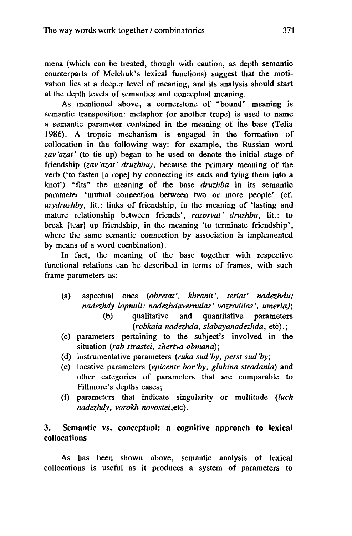mena (which can be treated, though with caution, as depth semantic counterparts of Melchuk's lexical functions) suggest that the motivation lies at a deeper level of meaning, and its analysis should start at the depth levels of semantics and conceptual meaning.

As mentioned above, a cornerstone of "bound" meaning is semantic transposition: metaphor (or another trope) is used to name a semantic parameter contained in the meaning of the base (Telia 1986). A tropeic mechanism is engaged in the formation of collocation in the following way: for example, the Russian word *zav'azat'* (to tie up) began to be used to denote the initial stage of friendship *{zav'azat' druzhbu),* because the primary meaning of the verb ('to fasten [a rope] by connecting its ends and tying them into a knot') "fits" the meaning of the base *druzhba* in its semantic parameter 'mutual connection between two or more people' (cf. *uzydruzhby,* lit.: links of friendship, in the meaning of 'lasting and mature relationship between friends', *razorvat' druzhbu,* lit.: to break [tear] up friendship, in the meaning 'to terminate friendship', where the same semantic connection by association is implemented by means of a word combination).

In fact, the meaning of the base together with respective functional relations can be described in terms of frames, with such frame parameters as:

- (a) aspectual ones *(obretat', khranit', teriat' nadezhdu; nadezhdy lopnuli; nadezhdavernulas ' vozrodilas', umerla);* (b) qualitative and quantitative parameters *(robkaia nadezhda, slabayanadezhda,* etc).;
- (c) parameters pertaining to the subject's involved in the situation *(rab strastei, zhertva obmand);*
- (d) instrumentative parameters *(ruka sud'by, perst sud'by;*
- (e) locative parameters *(epicentr bor'by, glubina stradania)* and other categories of parameters that are comparable to Fillmore's depths cases;
- (f) parameters that indicate singularity or multitude *(luch nadezhdy, vorokh novostei,*etc).

### **3. Semantic** vs. **conceptual: a cognitive approach to lexical** collocations

As has been shown above, semantic analysis of lexical collocations is useful as it produces a system of parameters to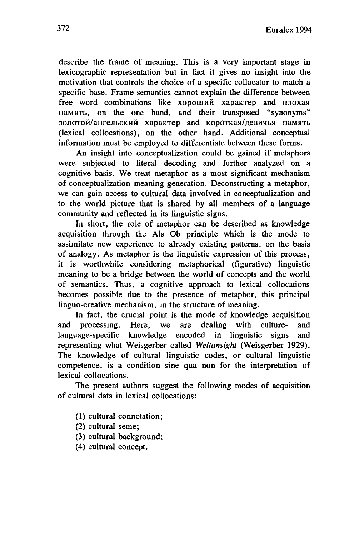describe the frame of meaning. This is a very important stage in lexicographic representation but in fact it gives no insight into the motivation that controls the choice of a specific collocator to match a specific base. Frame semantics cannot explain the difference between free word combinations like xopoming xapaktep and nnoxas Hamath, on the one hand, and their transposed "synonyms" золотой/ангельский характер and короткая/девичья память (lexical collocations), on the other hand. Additional conceptual information must be employed to differentiate between these forms.

An insight into conceptualization could be gained if metaphors were subjected to literal decoding and further analyzed on a cognitive basis. We treat metaphor as a most significant mechanism of conceptualization meaning generation. Deconstructing a metaphor, we can gain access to cultural data involved in conceptualization and to the world picture that is shared by all members of a language community and reflected in its linguistic signs.

In short, the role of metaphor can be described as knowledge acquisition through the Als Ob principle which is the mode to assimilate new experience to already existing patterns, on the basis of analogy. As metaphor is the linguistic expression of this process, it is worthwhile considering metaphorical (figurative) linguistic meaning to be a bridge between the world of concepts and the world of semantics. Thus, a cognitive approach to lexical collocations becomes possible due to the presence of metaphor, this principal linguo-creative mechanism, in the structure of meaning.

In fact, the crucial point is the mode of knowledge acquisition and processing. Here, we are dealing with culture- and language-specific knowledge encoded in linguistic signs and representing what Weisgerber called *Weltansight* (Weisgerber 1929). The knowledge of cultural linguistic codes, or cultural linguistic competence, is a condition sine qua non for the interpretation of lexical collocations.

The present authors suggest the following modes of acquisition of cultural data in lexical collocations:

- (1) cultural connotation;
- (2) cultural seme;
- (3) cultural background;
- (4) cultural concept.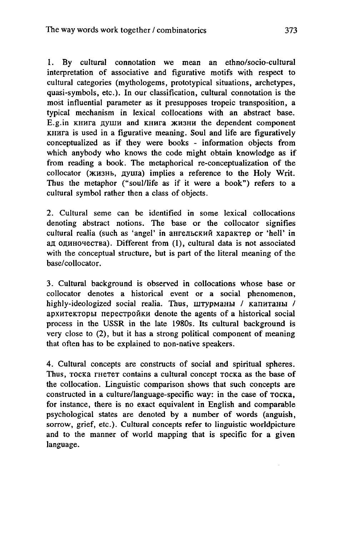1. By cultural connotation we mean an ethno/socio-cultural interpretation of associative and figurative motifs with respect to cultural categories (mythologems, prototypical situations, archetypes, quasi-symbols, etc.). In our classification, cultural connotation is the most influential parameter as it presupposes tropeic transposition, a typical mechanism in lexical collocations with an abstract base.  $E.g.$  in  $KHHra$   $IWHH$  and  $KHHra$   $KH3HH$  the dependent component KHHra is used in a figurative meaning. Soul and life are figuratively conceptualized as if they were books - information objects from which anybody who knows the code might obtain knowledge as if from reading a book. The metaphorical re-conceptualization of the collocator (жизнь, душа) implies a reference to the Holy Writ. Thus the metaphor ("soul/life as if it were a book") refers to a cultural symbol rather then a class of objects.

2. Cultural seme can be identified in some lexical collocations denoting abstract notions. The base or the collocator signifies cultural realia (such as 'angel' in ангельский характер or 'hell' in *an* OflHHOHecTBa). Different from (1), cultural data is not associated with the conceptual structure, but is part of the literal meaning of the base/collocator.

3. Cultural background is observed in collocations whose base or collocator denotes a historical event or a social phenomenon, highly-ideologized social realia. Thus,  $\mu$ турманы / капитаны / apxитекторы перестройки denote the agents of a historical social process in the USSR in the late 1980s. Its cultural background is very close to (2), but it has a strong political component of meaning that often has to be explained to non-native speakers.

4. Cultural concepts are constructs of social and spiritual spheres. Thus, TOCKa THeTeT contains a cultural concept TOCKa as the base of the collocation. Linguistic comparison shows that such concepts are constructed in a culture/language-specific way: in the case of TOCKa, for instance, there is no exact equivalent in English and comparable psychological states are denoted by a number of words (anguish, sorrow, grief, etc.). Cultural concepts refer to linguistic worldpicture and to the manner of world mapping that is specific for a given language.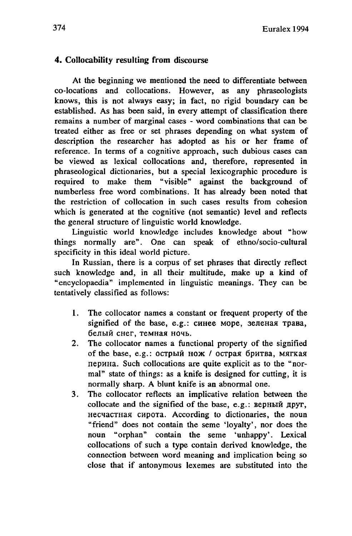## **4. Collocability resulting from discourse**

**At** the beginning we mentioned the need to differentiate between co-locations and collocations. However, as any phraseologists knows, this is not always easy; in fact, no rigid boundary can be established. As has been said, in every attempt of classification there remains a number of marginal cases - word combinations that can be treated either as free or set phrases depending on what system of description the researcher has adopted as his or her frame of reference. In terms of a cognitive approach, such dubious cases can be viewed as lexical collocations and, therefore, represented in phraseological dictionaries, but a special lexicographic procedure is required to make them "visible" against the background of numberless free word combinations. It has already been noted that the restriction of collocation in such cases results from cohesion which is generated at the cognitive (not semantic) level and reflects the general structure of linguistic world knowledge.

Linguistic world knowledge includes knowledge about "how things normally are". One can speak of ethno/socio-cultural specificity in this ideal world picture.

In Russian, there is a corpus of set phrases that directly reflect such knowledge and, in all their multitude, make up a kind of "encyclopaedia" implemented in linguistic meanings. They can be tentatively classified as follows:

- 1. The collocator names a constant or frequent property of the signified of the base, e.g.: синее море, зеленая трава, белый снег, темная ночь.
- 2. The collocator names a functional property of the signified of the base, e.g.: острый нож / острая бритва, мягкая перина. Such collocations are quite explicit as to the "normal" state of things: as a knife is designed for cutting, it is normally sharp. A blunt knife is an abnormal one.
- 3. The collocator reflects an implicative relation between the collocate and the signified of the base, e.g.:  $B$ ерный друг, HecuacTHaH cupoTa. According to dictionaries, the noun "friend" does not contain the seme 'loyalty', nor does the noun "orphan" contain the seme 'unhappy'. Lexical collocations of such a type contain derived knowledge, the connection between word meaning and implication being so close that if antonymous lexemes are substituted into the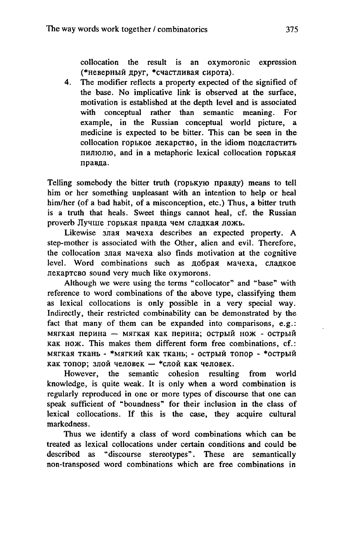collocation the result is an oxymoronic expression (\*неверный друг, \*счастливая сирота).

4. The modifier reflects a property expected of the signified of the base. No implicative link is observed at the surface, motivation is established at the depth level and is associated with conceptual rather than semantic meaning. For example, in the Russian conceptual world picture, a medicine is expected to be bitter. This can be seen in the collocation горькое лекарство, in the idiom подсластить пилюлю, and in a metaphoric lexical collocation горькая правда.

Telling somebody the bitter truth (горькую правду) means to tell him or her something unpleasant with an intention to help or heal him/her (of a bad habit, of a misconception, etc.) Thus, a bitter truth is a truth that heals. Sweet things cannot heal, cf. the Russian proverb Лучше горькая правда чем сладкая ложь.

Likewise 3Jaar Mayexa describes an expected property. A step-mother is associated with the Other, alien and evil. Therefore, the collocation 3Jaa Mayexa also finds motivation at the cognitive level. Word combinations such as **no**bpaa Mayexa, слапкое jieKapTCBO sound very much like oxymorons.

Although we were using the terms "collocator" and "base" with reference to word combinations of the above type, classifying them as lexical collocations is only possible in a very special way. Indirectly, their restricted combinability can be demonstrated by the fact that many of them can be expanded into comparisons, e.g.: мягкая перина – мягкая как перина; острый нож - острый  $K$ aK HO $K$ . This makes them different form free combinations, cf.: МЯГКАЯ ТКАНЬ - \*МЯГКИЙ КАК ТКАНЬ; - ОСТРЫЙ ТОПОР - \*ОСТРЫЙ  $K$ ак топор; злой человек  $-$  \*слой как человек.<br>However, the semantic cohesion resultin

the semantic cohesion resulting from world knowledge, is quite weak. It is only when a word combination is regularly reproduced in one or more types of discourse that one can speak sufficient of "boundness" for their inclusion in the class of lexical collocations. If this is the case, they acquire cultural markedness.

Thus we identify a class of word combinations which can be treated as lexical collocations under certain conditions and could be described as "discourse stereotypes". These are semantically non-transposed word combinations which are free combinations in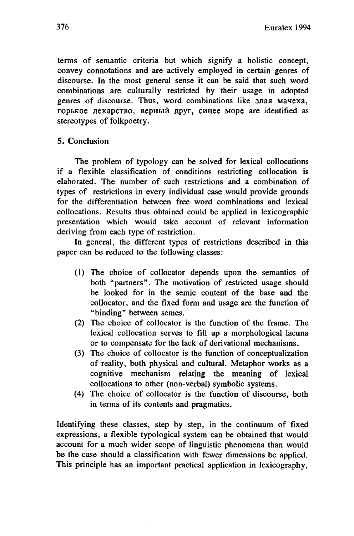terms of semantic criteria but which signify a holistic concept, convey connotations and are actively employed in certain genres of discourse. In the most general sense it can be said that such word combinations are culturally restricted by their usage in adopted genres of discourse. Thus, word combinations like 3лая мачеха, горькое лекарство, верный друг, синее море are identified as stereotypes of folkpoetry.

### 5. Conclusion

The problem of typology can be solved for lexical collocations if a flexible classification of conditions restricting collocation is elaborated. The number of such restrictions and a combination of types of restrictions in every individual case would provide grounds for the differentiation between free word combinations and lexical collocations. Results thus obtained could be applied in lexicographic presentation which would take account of relevant information deriving from each type of restriction.

In general, the different types of restrictions described in this paper can be reduced to the following classes:

- (1) The choice of collocator depends upon the semantics of both "partners". The motivation of restricted usage should be looked for in the semic content of the base and the collocator, and the fixed form and usage are the function of "binding" between semes.
- (2) The choice of collocator is the function of the frame. The lexical collocation serves to fill up a morphological lacuna or to compensate for the lack of derivational mechanisms.
- (3) The choice of collocator is the function of conceptualization of reality, both physical and cultural. Metaphor works as a cognitive mechanism relating the meaning of lexical collocations to other (non-verbal) symbolic systems.
- (4) The choice of collocator is the function of discourse, both in terms of its contents and pragmatics.

Identifying these classes, step by step, in the continuum of fixed expressions, a flexible typological system can be obtained that would account for a much wider scope of linguistic phenomena than would be the case should a classification with fewer dimensions be applied. This principle has an important practical application in lexicography,